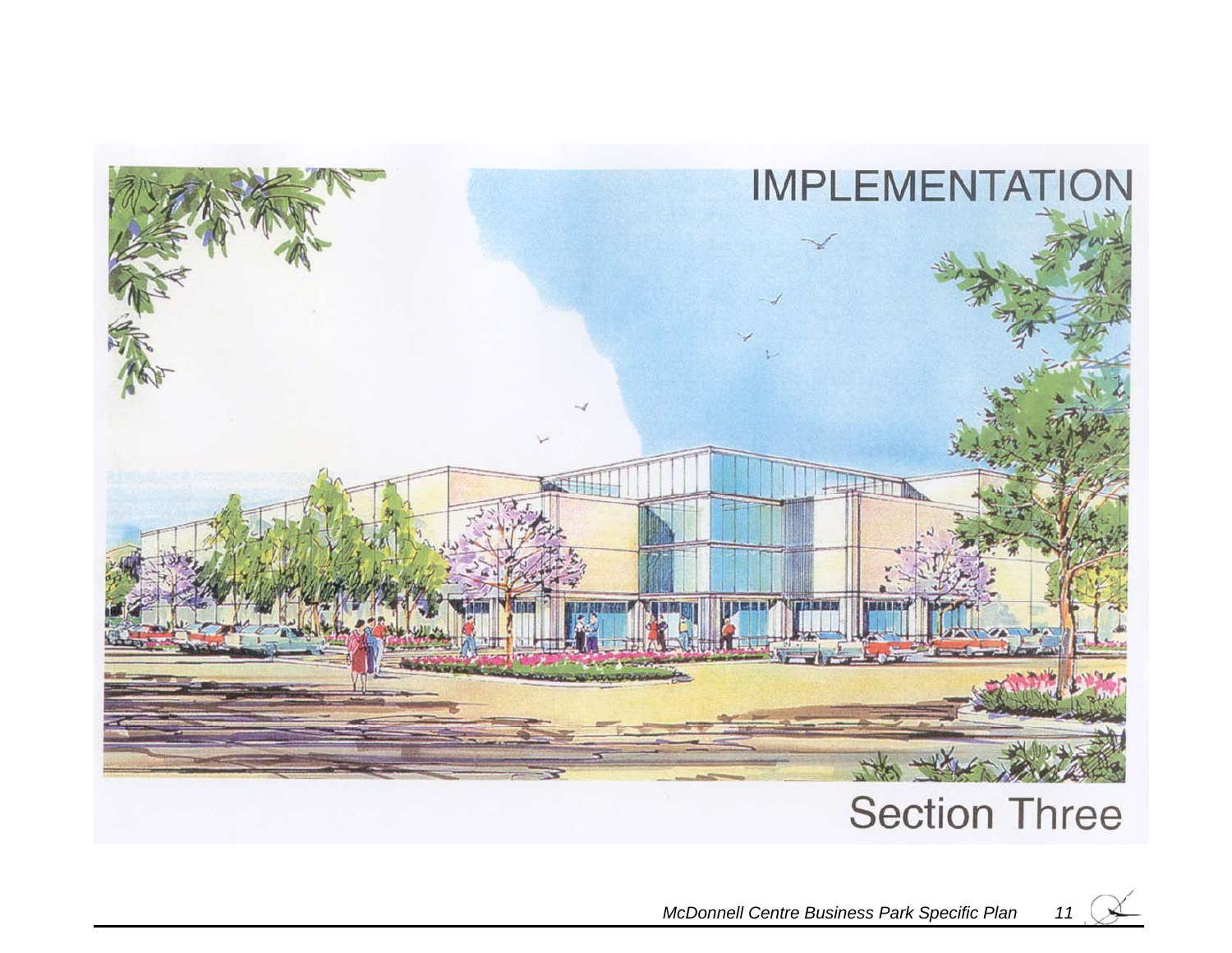

# **Section Three**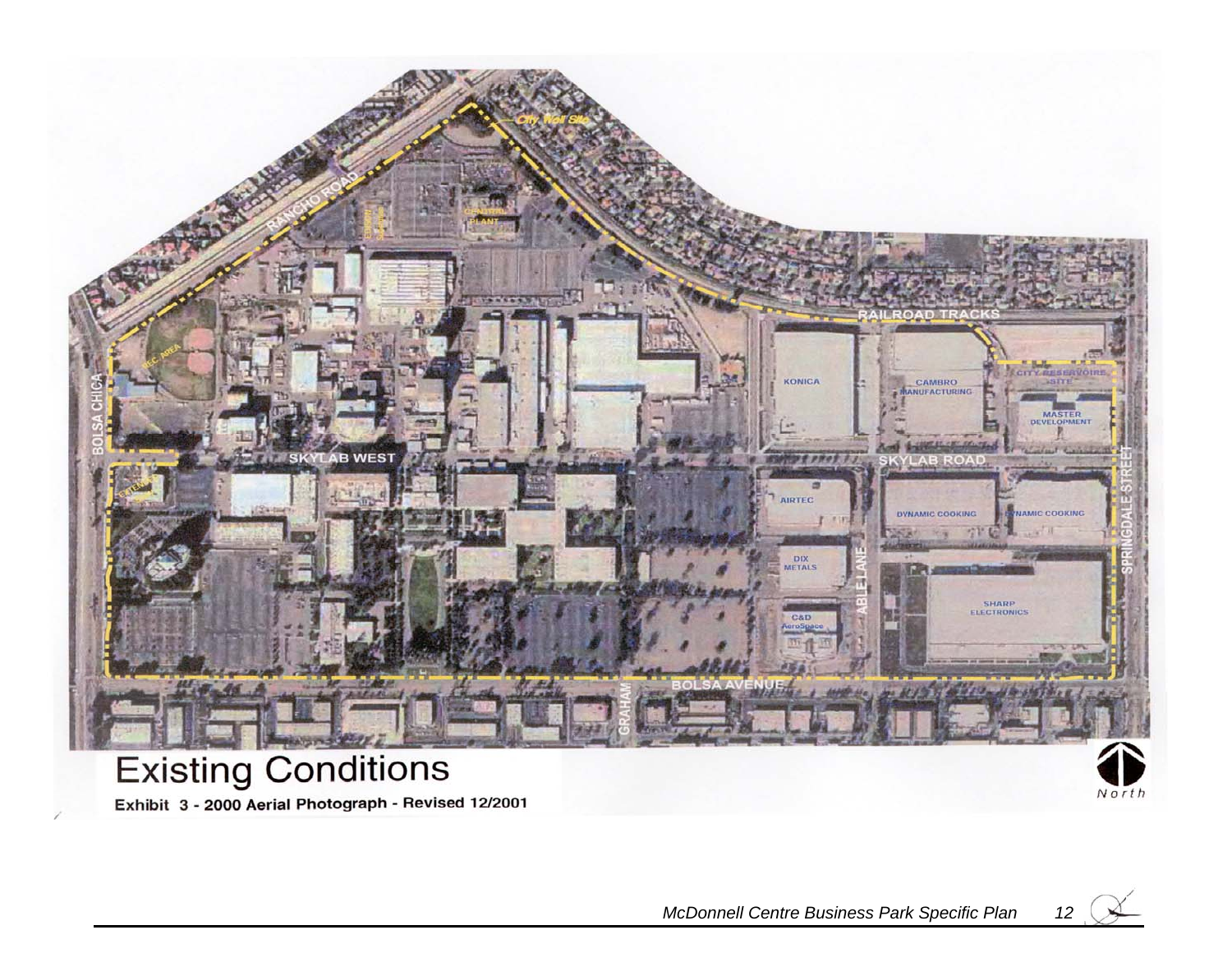

## **Existing Conditions** Exhibit 3 - 2000 Aerial Photograph - Revised 12/2001

North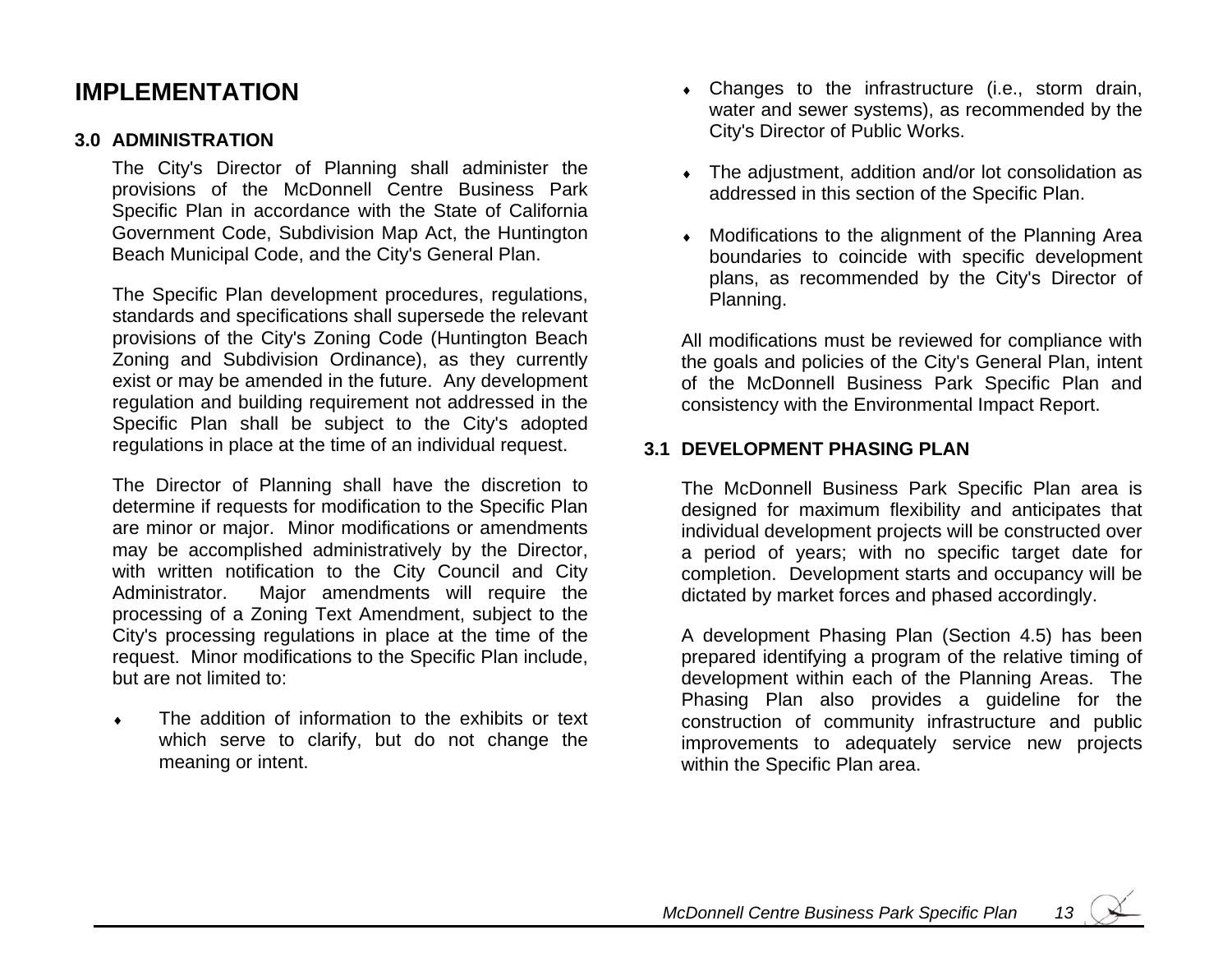### **IMPLEMENTATION**

#### **3.0 ADMINISTRATION**

The City's Director of Planning shall administer the provisions of the McDonnell Centre Business Park Specific Plan in accordance with the State of California Government Code, Subdivision Map Act, the Huntington Beach Municipal Code, and the City's General Plan.

The Specific Plan development procedures, regulations, standards and specifications shall supersede the relevant provisions of the City's Zoning Code (Huntington Beach Zoning and Subdivision Ordinance), as they currently exist or may be amended in the future. Any development regulation and building requirement not addressed in the Specific Plan shall be subject to the City's adopted regulations in place at the time of an individual request.

The Director of Planning shall have the discretion to determine if requests for modification to the Specific Plan are minor or major. Minor modifications or amendments may be accomplished administratively by the Director, with written notification to the City Council and City Administrator. Major amendments will require the processing of a Zoning Text Amendment, subject to the City's processing regulations in place at the time of the request. Minor modifications to the Specific Plan include, but are not limited to:

♦ The addition of information to the exhibits or text which serve to clarify, but do not change the meaning or intent.

- $\bullet$  Changes to the infrastructure (i.e., storm drain, water and sewer systems), as recommended by the City's Director of Public Works.
- The adjustment, addition and/or lot consolidation as addressed in this section of the Specific Plan.
- Modifications to the alignment of the Planning Area boundaries to coincide with specific development plans, as recommended by the City's Director of Planning.

All modifications must be reviewed for compliance with the goals and policies of the City's General Plan, intent of the McDonnell Business Park Specific Plan and consistency with the Environmental Impact Report.

#### **3.1 DEVELOPMENT PHASING PLAN**

The McDonnell Business Park Specific Plan area is designed for maximum flexibility and anticipates that individual development projects will be constructed over a period of years; with no specific target date for completion. Development starts and occupancy will be dictated by market forces and phased accordingly.

A development Phasing Plan (Section 4.5) has been prepared identifying a program of the relative timing of development within each of the Planning Areas. The Phasing Plan also provides a guideline for the construction of community infrastructure and public improvements to adequately service new projects within the Specific Plan area.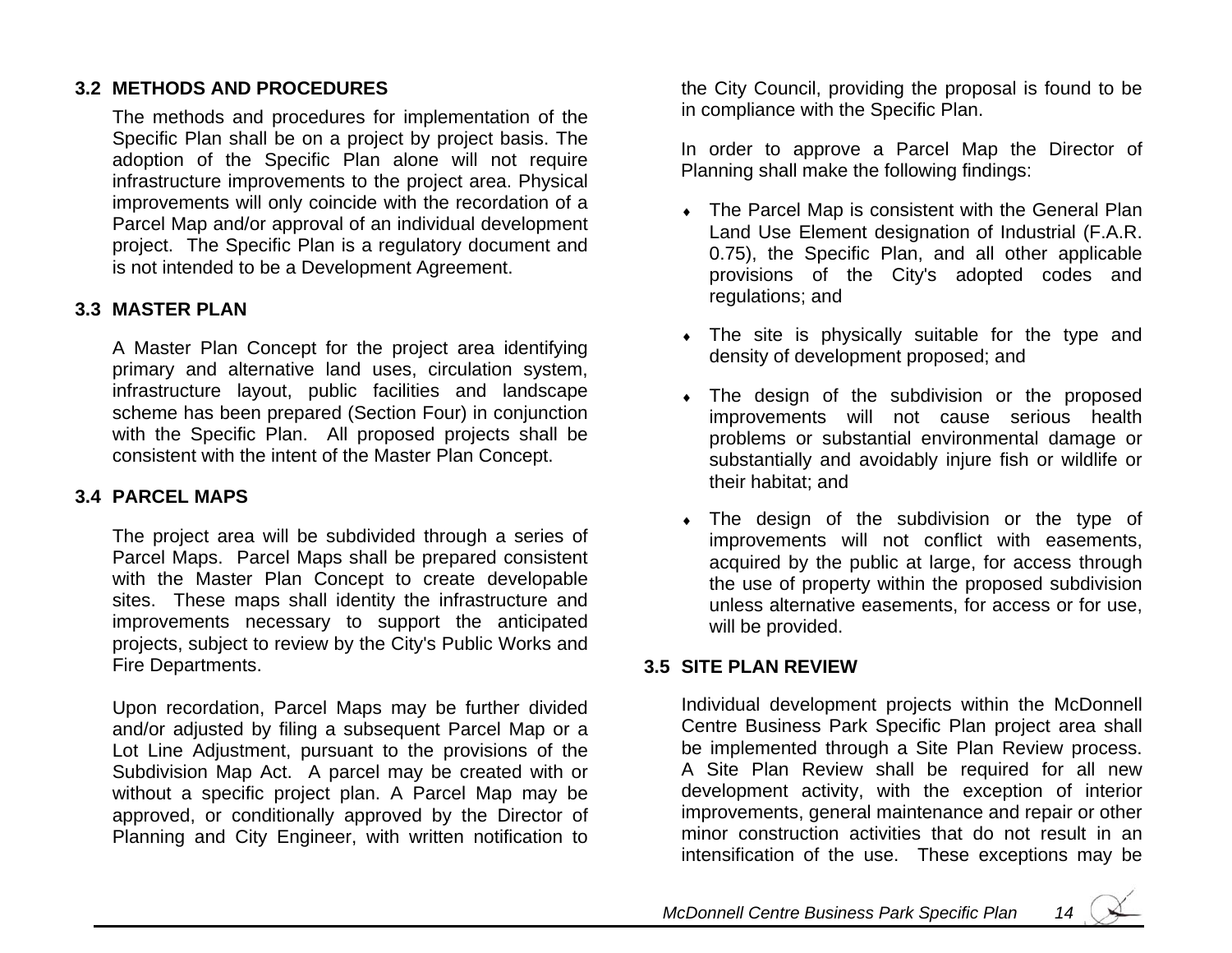#### **3.2 METHODS AND PROCEDURES**

The methods and procedures for implementation of the Specific Plan shall be on a project by project basis. The adoption of the Specific Plan alone will not require infrastructure improvements to the project area. Physic al improvements will only coincide with the recordation of a Parcel Map and/or approval of an individual development project. The Specific Plan is a regulatory document and is not intended to be a Development Agreement.

#### **3.3 MASTER PLAN**

A Master Plan Concept for the project area identifying primary and alternative land uses, circulation system, infrastructure layout, public facilities and landscape scheme has been prepared (Section Four) in conjunction with the Specific Plan. All proposed projects shall be consistent with the intent of the Master Plan Concept.

#### **3.4 PARCEL MAPS**

The project area will be subdivided through a series of Parcel Maps. Parcel Maps shall be prepared consistent with the Master Plan Concept to create developable sites. These maps shall identity the infrastructure and improvements necessary to support the anticipated projects, subject to review by the City's Public Works and Fire Departments.

Upon recordation, Parcel Maps may be further divided and/or adjusted by filing a subsequent Parcel Map or a Lot Line Adjustment, pursuant to the provisions of the Subdivision Map Act. A parcel may be created with or without a specific project plan. A Parcel Map may be approved, or conditionally approved by the Director of Planning and City Engineer, with written notification to

the City Council, providing the proposal is found to be in complia nce with the Specific Plan.

In order to approve a Parcel Map the Director of Planning shall make the following findings:

- The Parcel Map is consistent with the General Plan Land Use Element designation of Industrial (F.A.R. 0.75), the Specific Plan, and all other applicable provisions of the City's adopted codes and regulations; and
- $\bullet$  The site is physically suitable for the type and density of development proposed; and
- The design of the subdivision or the proposed improvements will not cause serious health problems or substantial en vironmental damage or substantially and avoidably injure fish or wildlife or their habitat; and
- The design of the subdivision or the type of improvements will n ot conflict with easements, acquired by the public at large, for access through the use of property within the proposed s ubdivision unless alternative easements, for access or for use, will be provided.

#### **3.5 SITE PLAN REVIEW**

Individual development projects within the McDonnell Centre Business Park Specific Plan project area shall be implemented through a Site Plan Review process. A Site Plan Review shall be required for all new development activity, with the excepti on of i nterior improvements, general maintenance and repair or other minor construction activities that do not result in an intensification of the use. These exceptions may be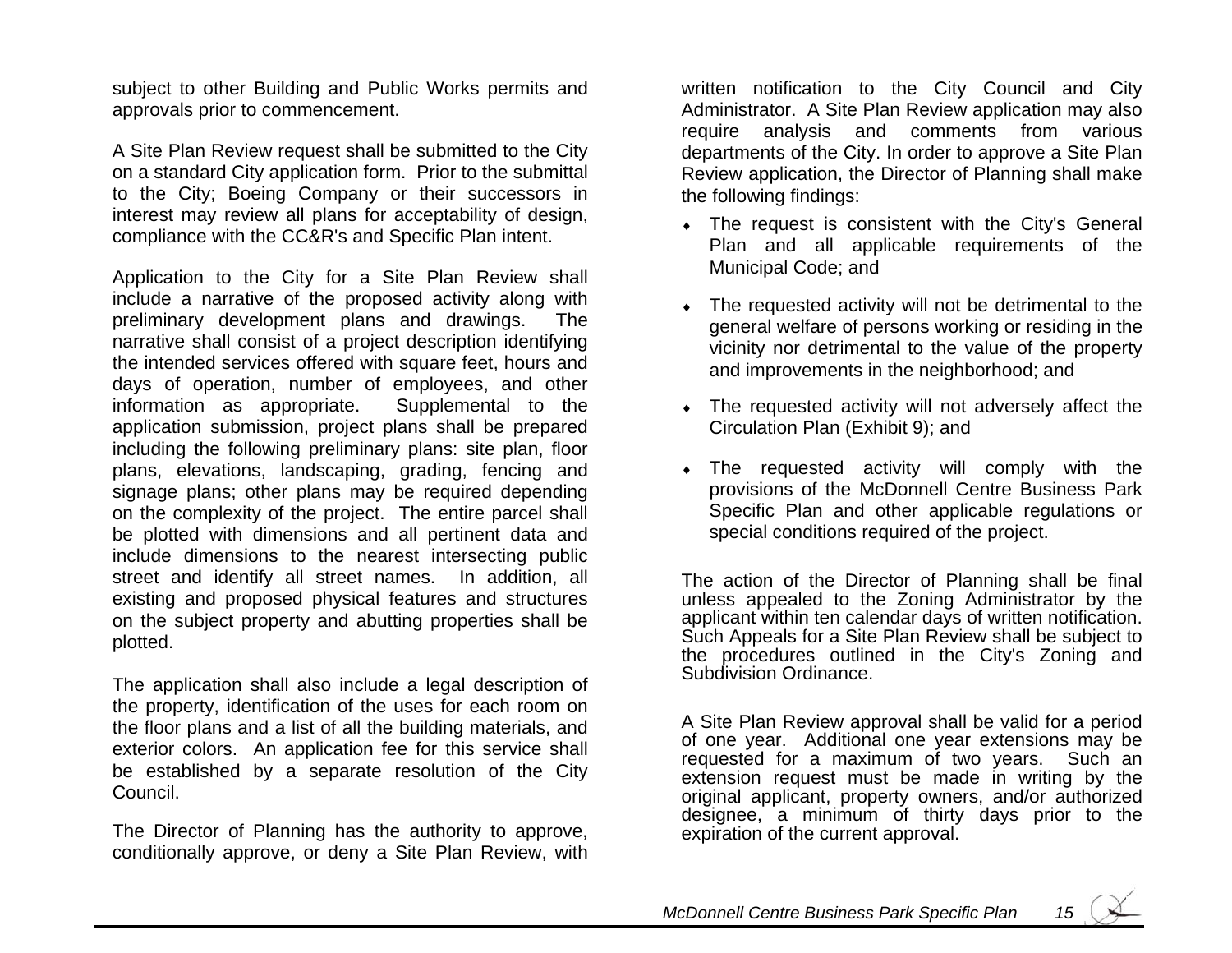subject to other Building and Public Works permits and approvals prior to commencement.

A Site Plan Review request shall be submitted to the City on a standard City application form. Prior to the submittal to the City; Boeing Company or their successors in interest may review all plans for acceptability of design, compliance with the CC&R's and Specific Plan intent.

Application to the City for a Site Plan Review shall include a narrative of the proposed activity along with preliminary development plans and drawings. The narrative shall consist of a project description identifying the intended services offered with square feet, hours and days of operation, number of employees, and other information as appropriate. Supplemental to the application submission, project plans shall be prepared including the following preliminary plans: site plan, floor plans, elevations, landscaping, grading, fencing and signage plans; other plans may be required depending on the complexity of the project. The entire parcel shall be plotted with dimensions and all pertinent data and include dimensions to the nearest intersecting public street and identify all street names. In addition, all existing and proposed physical features and structures on the s ubject property and abutting properties shall be plotted.

The application shall also in clude a legal description of the property, identification of the uses for each room on the floor plans and a list of all the building materials, and exterior colors. An application fee for this service shall be established by a separate resolution of the City Council.

The Director of Planning has the authority to approve, conditionally approve, or deny a Site Plan Review, with written notification to the City Council and City Administrator. A Site Plan Review application may also require analysis and comments from various departments of the City. In order to approve a Site Plan Review application, the Director of Planning shall make the following findings:

- $\bullet$  The request is consistent with the City's General Plan and all applicable requirements of the Municipal Code; and
- The requested activity will not be detrimental to the general welfare of persons working or residing in the vicinity nor detrimental to the value of the property and improvements in the neigh borhood; and
- The requested activity will not adversely affect the Circulation Plan (Exhibit 9); and
- The requested activity will comply with the provisions of the McDonnell Centre Business Park Specific Plan and other applicable regulations or special conditions req uired of the project.

The action of the Director of Planning s hall be final unless appealed to the Zoning Administrator by the applicant within ten calendar days of written notification. Such Appeals for a Site Plan Review shall be subject to the procedures outlined in the City's Zoning and Subdivision Ordinance.

A Site Plan Review approval shall be v alid for a period of one year. Additional one year extensions may be requested for a maximum of two years. Such an extension request must be made in writing by the original applicant, property owners, and/or authorized designee, a minimum of thirty days prior to the expiration of the current approval.

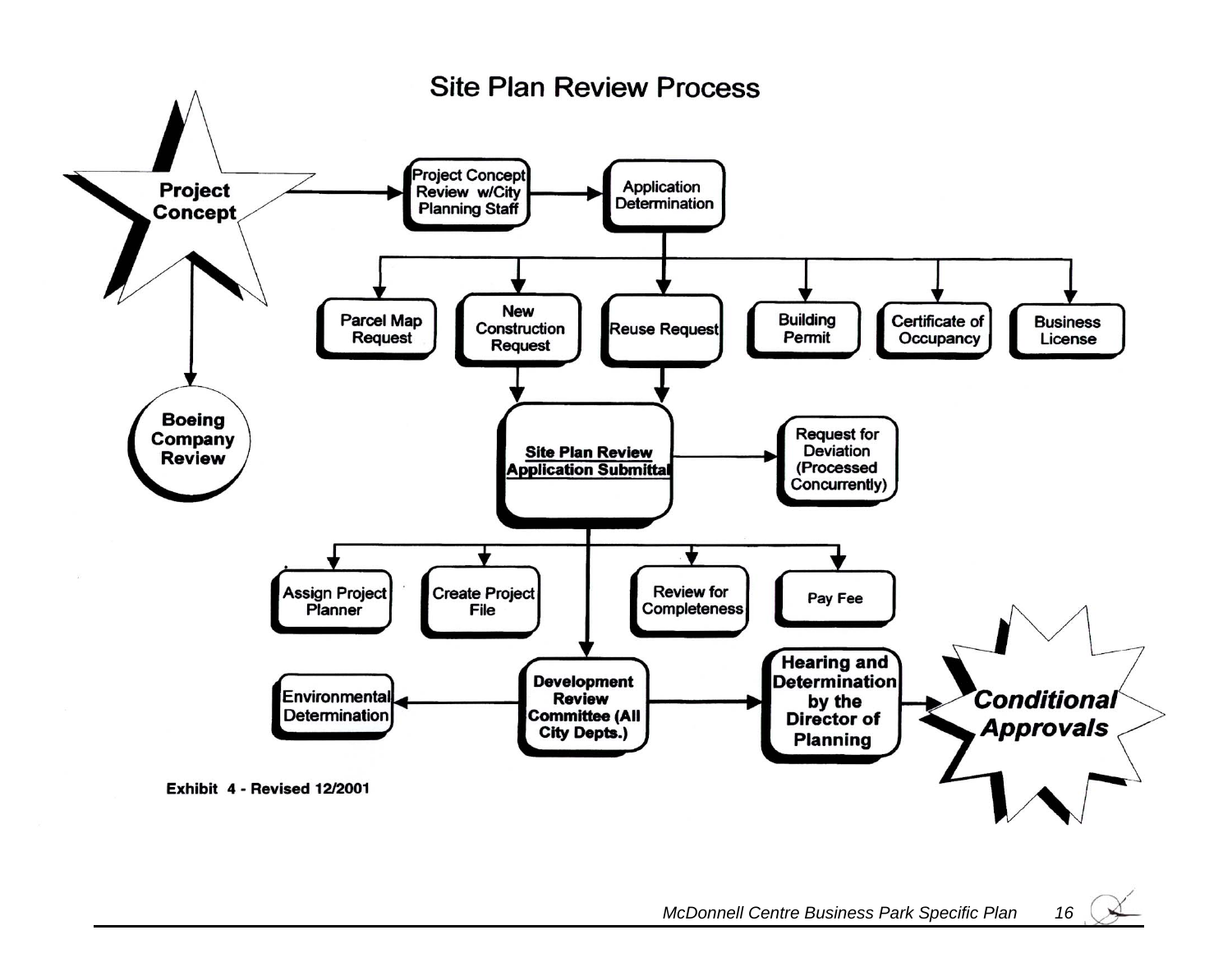

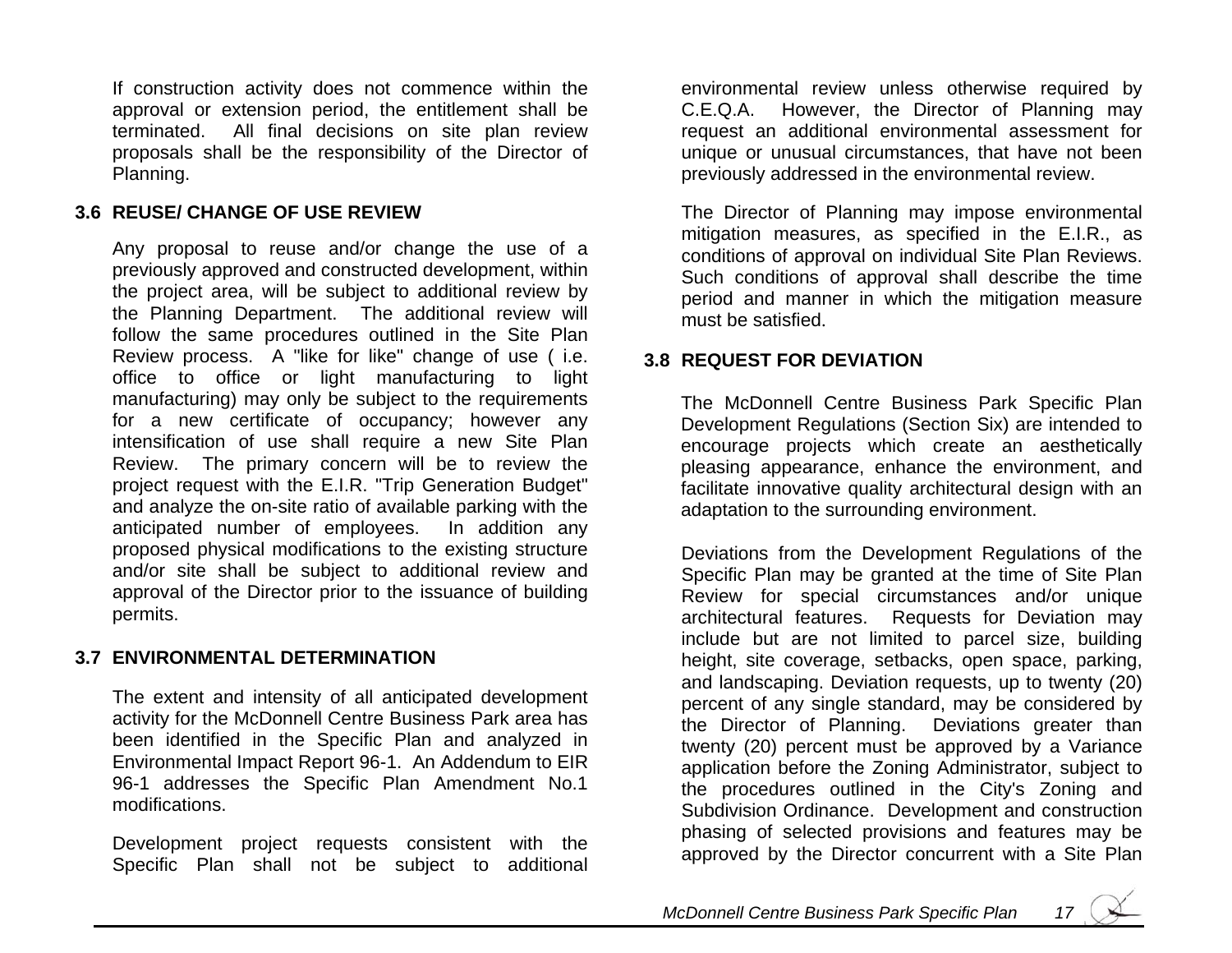If construction activity does not commence within the approval or extension period, the entitlement shall be terminated. All final decisions on site plan review proposals shall be the responsibility of the Director of Planning.

#### **3.6 REUSE/ CHANGE OF USE REVIEW**

Any proposal to reuse and/or change t he use of a previously approved and constructed development, within the project area, will be subject to additional review by the Planning Department. The additional review will follow the same procedures outlined in the Site Plan Review process. A "like for like" change of use ( i.e. office to office or light manufacturing to light manufacturing) may only be subject to the requirements for a new certificate of occupancy; however any intensification of use shall require a n ew Site Plan Review. The primary concern will be to review the project request with the E.I.R. " Trip Generation Budget" and analyze the on-sit e ratio of available parking with the anticipated number of employees. In addition any proposed physical modifications to the existing structure and/or site shall be subject to additional review and approval of the Director prior to the issuance of building permits.

#### **3.7 ENVIRONMENTAL DETERMINATION**

The extent and intensity of all anticipated development activity for the McDonnell Centre Business Park area has been identified in the Specific Plan and analyzed in Environmental Impact Report 96-1. An Addendum to EIR 96-1 addresses the Specific Plan Amendment No.1 modifications.

Development project requests consistent with the Specific Plan shall not be subject to additional

environmental review unless otherwise required by C.E.Q.A. However, the Director of Planning may request an additional environmental ass essment for unique or unusual circumstances, that have not been previously addressed in the environmental review.

The Direct or of Planning may impose environmental mitigation measures, as specified in the E.I.R., as conditions of approval on individual Site Plan Reviews. Such conditions of approval shall describe the time period and manner in which the mitigation measure must be satisfied.

#### **3.8 REQUEST FOR DEVIATION**

The McDonnell Centre Business Park Specific Plan Development Regulations (Sectio n Six) are intended to encourage projects which create an aesthetically pleasing appearance, enhance the environment, and facilitate innovative quality architectural design with an adaptation to the surrounding environment.

Deviations from the Development Regulations of the Specific Plan may be granted at the time of Site Plan Review for special circumstances and/or uniq ue architectural features. Requests for Deviation may include but are not limited to parcel size, building height, site coverage, setbacks, open s pace, parking, and landscaping. Deviation requests, up to twenty (20) percent of any single standard, may be considered by the Direct or of Planning. Deviations greater than twenty (20) percent must be approved by a Variance application before the Zoning Administrator, subject to the procedures outlined in the City's Zoning and Subdivision Ordinance. Development and construction phasing of selected provisions and features may be approved by the Director concurrent with a Site Plan